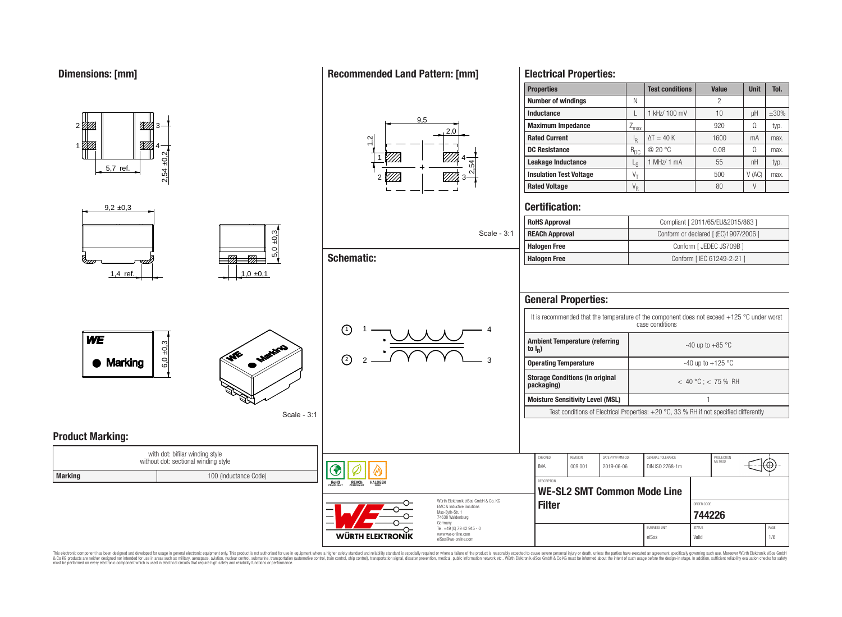1

71TI.

**Product Marking:**

2,54 ±0,2

4

<u>771 |</u>

**MA** 

# **Recommended Land Pattern: [mm]**



| 5,7 ref.                                                        |                       | <u> 2777   </u>                                     | <i>VII</i><br>$\overline{54}$                              | Leakage Inductance             |                                                                                                                                             | $L_S$                           | 1 MHz/ 1 mA                                                                            | 55                                    | nH                         | typ.        |
|-----------------------------------------------------------------|-----------------------|-----------------------------------------------------|------------------------------------------------------------|--------------------------------|---------------------------------------------------------------------------------------------------------------------------------------------|---------------------------------|----------------------------------------------------------------------------------------|---------------------------------------|----------------------------|-------------|
| $2,54 \pm 0$                                                    |                       |                                                     |                                                            | <b>Insulation Test Voltage</b> |                                                                                                                                             | $V_T$                           |                                                                                        | 500                                   | V(AC)                      | max.        |
|                                                                 |                       |                                                     |                                                            | <b>Rated Voltage</b>           |                                                                                                                                             | $V_R$                           |                                                                                        | 80                                    | V                          |             |
| $9,2 \pm 0,3$                                                   |                       |                                                     |                                                            | <b>Certification:</b>          |                                                                                                                                             |                                 |                                                                                        |                                       |                            |             |
|                                                                 |                       |                                                     |                                                            | <b>RoHS Approval</b>           |                                                                                                                                             |                                 |                                                                                        | Compliant [ 2011/65/EU&2015/863 ]     |                            |             |
|                                                                 | ±0.3                  |                                                     |                                                            | <b>REACh Approval</b>          |                                                                                                                                             |                                 |                                                                                        | Conform or declared [ (EC)1907/2006 ] |                            |             |
|                                                                 | $\circ$               |                                                     |                                                            |                                | <b>Halogen Free</b><br>Conform [ JEDEC JS709B]                                                                                              |                                 |                                                                                        |                                       |                            |             |
|                                                                 | ທົ                    | <b>Schematic:</b>                                   |                                                            | <b>Halogen Free</b>            |                                                                                                                                             |                                 | Conform [ IEC 61249-2-21 ]                                                             |                                       |                            |             |
| $1,4$ ref.                                                      | 1,0,0,1               |                                                     |                                                            | <b>General Properties:</b>     |                                                                                                                                             |                                 |                                                                                        |                                       |                            |             |
| <b>WE</b><br>$\frac{10}{3}$<br>Matting<br>6,0<br><b>Marking</b> | $\bigcirc$            | <b>Ambient Temperature (referring</b><br>to $I_R$ ) |                                                            |                                | It is recommended that the temperature of the component does not exceed +125 $^{\circ}$ C under worst case conditions<br>-40 up to $+85$ °C |                                 |                                                                                        |                                       |                            |             |
|                                                                 | $\Omega$              | <b>Operating Temperature</b>                        |                                                            |                                | -40 up to +125 $^{\circ}$ C                                                                                                                 |                                 |                                                                                        |                                       |                            |             |
|                                                                 |                       |                                                     | <b>Storage Conditions (in original</b><br>packaging)       |                                |                                                                                                                                             | $< 40 °C$ ; < 75 % RH           |                                                                                        |                                       |                            |             |
|                                                                 |                       |                                                     | <b>Moisture Sensitivity Level (MSL)</b>                    |                                |                                                                                                                                             |                                 |                                                                                        |                                       |                            |             |
|                                                                 | Scale - 3:1           |                                                     |                                                            |                                |                                                                                                                                             |                                 | Test conditions of Electrical Properties: +20 °C, 33 % RH if not specified differently |                                       |                            |             |
| <b>Product Marking:</b><br>with dot: bifilar winding style      |                       |                                                     |                                                            |                                |                                                                                                                                             |                                 |                                                                                        |                                       |                            |             |
| without dot: sectional winding style                            |                       | ♦                                                   |                                                            | CHECKED<br>IMA                 | REVISION<br>009.001                                                                                                                         | DATE (YYYY-MM-DD)<br>2019-06-06 | GENERAL TOLERANCE<br>DIN ISO 2768-1m                                                   | PROJECTION<br>METHOD                  | $\widehat{\mathbb{C}}$ (0) |             |
| <b>Marking</b>                                                  | 100 (Inductance Code) | ROHS<br><b>REACh</b><br><b>HALOGEN</b>              | Würth Elektronik eiSos GmbH & Co. KG                       | <b>DESCRIPTION</b>             |                                                                                                                                             |                                 | <b>WE-SL2 SMT Common Mode Line</b>                                                     |                                       |                            |             |
|                                                                 |                       |                                                     | <b>Filter</b>                                              |                                |                                                                                                                                             | ORDER CODE<br>744226            |                                                                                        |                                       |                            |             |
|                                                                 |                       | <b>WÜRTH ELEKTRONIK</b>                             | Germany<br>Tel. +49 (0) 79 42 945 - 0<br>www.we-online.com |                                |                                                                                                                                             |                                 | <b>BUSINESS UNIT</b><br>eiSos                                                          | <b>STATUS</b><br>Valid                |                            | PAGE<br>1/6 |
|                                                                 |                       |                                                     | eiSos@we-online.com                                        |                                |                                                                                                                                             |                                 |                                                                                        |                                       |                            |             |

**Properties Test conditions Value Unit V** 

**Inductance L 1** kHz/ 100 mV **10 L** uH  $\pm$ 30% **Maximum Impedance**  $Z_{\text{max}}$  **920** Ω typ.

**DC Resistance** R<sub>DC</sub> @ 20 °C 0.08 Ω max.

 $\Delta T = 40 \text{ K}$  1600 mA max.

1 MHz/ 1 mA  $\vert$  55  $\vert$  nH  $\vert$  typ.

**Number of windings** N N N N 2

 $\frac{I_R}{R_{DC}}$ 

**Rated Current** 

**Leakage Inductance** L

**Electrical Properties:**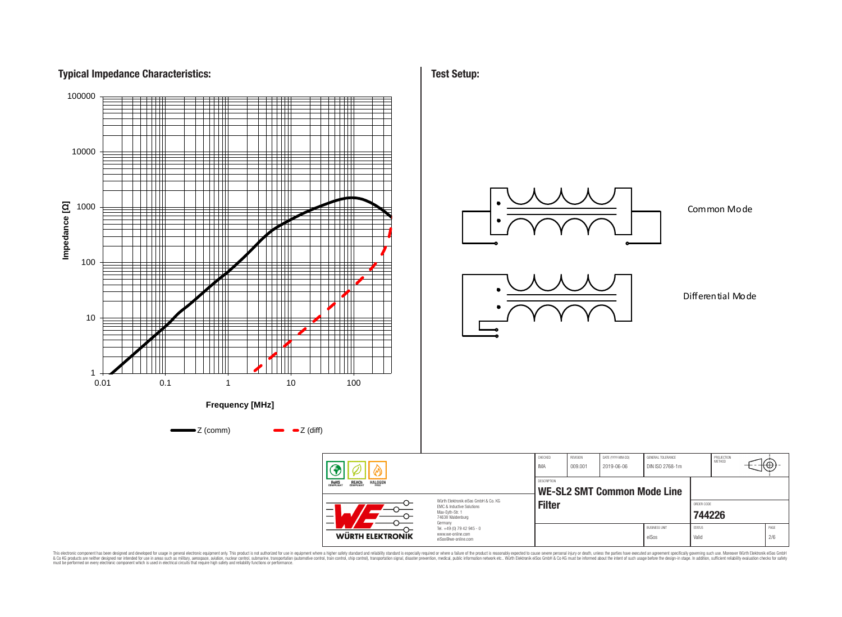## **Typical Impedance Characteristics:**



**Test Setup:**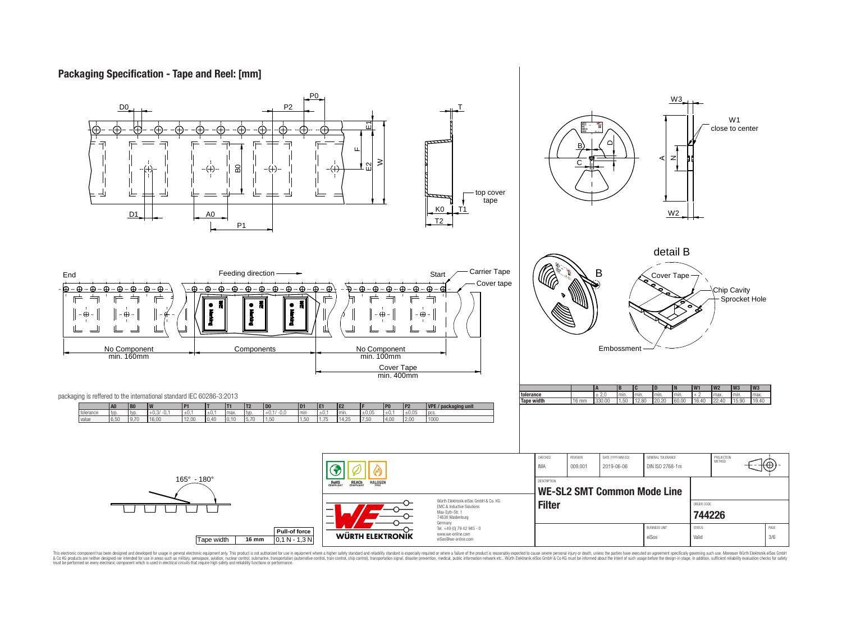# **Packaging Specification - Tape and Reel: [mm]**

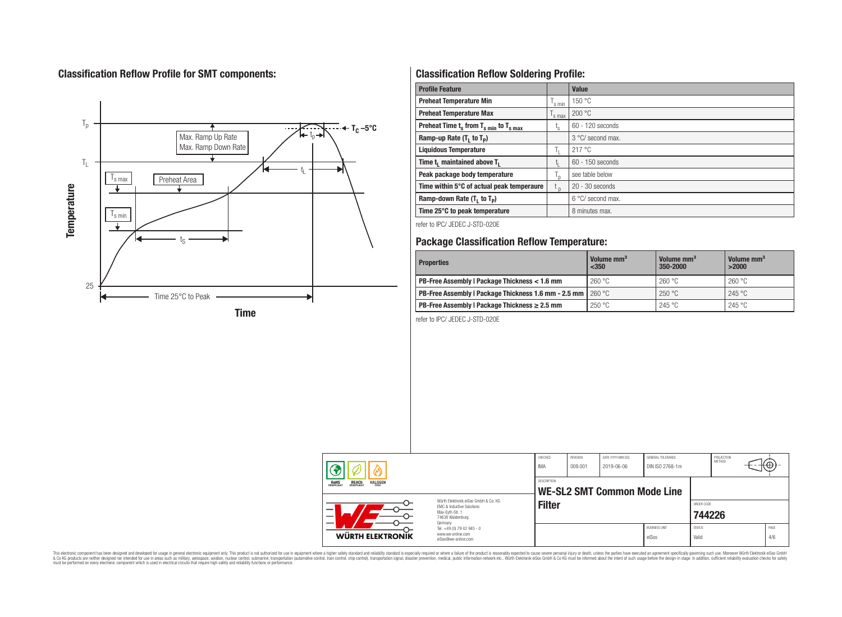# **Classification Reflow Profile for SMT components:**



# **Classification Reflow Soldering Profile:**

| <b>Profile Feature</b>                              |                    | <b>Value</b>      |
|-----------------------------------------------------|--------------------|-------------------|
| <b>Preheat Temperature Min</b>                      | $\mathsf{I}$ s min | 150 °C            |
| <b>Preheat Temperature Max</b>                      | s max              | 200 °C            |
| Preheat Time $t_s$ from $T_{s,min}$ to $T_{s,max}$  | ι <sub>s</sub>     | 60 - 120 seconds  |
| Ramp-up Rate $(T_1$ to $T_p$ )                      |                    | 3 °C/ second max. |
| <b>Liquidous Temperature</b>                        | h.                 | 217 °C            |
| Time t <sub>1</sub> maintained above T <sub>1</sub> |                    | 60 - 150 seconds  |
| Peak package body temperature                       |                    | see table below   |
| Time within 5°C of actual peak temperaure           | $t_{p}$            | $20 - 30$ seconds |
| Ramp-down Rate $(T_1$ to $T_p)$                     |                    | 6 °C/ second max. |
| Time 25°C to peak temperature                       |                    | 8 minutes max.    |

refer to IPC/ JEDEC J-STD-020E

# **Package Classification Reflow Temperature:**

| <b>Properties</b>                                                  | Volume mm <sup>3</sup><br>$350$ | Volume mm <sup>3</sup><br>350-2000 | Volume mm <sup>3</sup><br>>2000 |  |
|--------------------------------------------------------------------|---------------------------------|------------------------------------|---------------------------------|--|
| PB-Free Assembly   Package Thickness < 1.6 mm                      | 260 °C                          | 260 °C                             | 260 °C                          |  |
| PB-Free Assembly I Package Thickness 1.6 mm - 2.5 mm $\mid$ 260 °C |                                 | 250 °C                             | 245 °C                          |  |
| PB-Free Assembly   Package Thickness $\geq 2.5$ mm                 | 250 °C                          | 245 °C                             | 245 °C                          |  |

refer to IPC/ JEDEC J-STD-020E

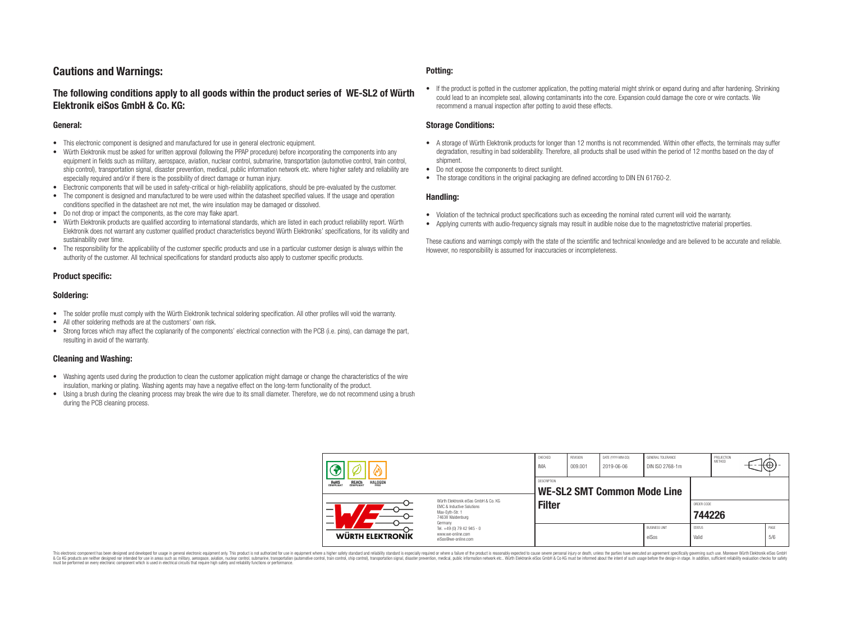# **Cautions and Warnings:**

### **The following conditions apply to all goods within the product series of WE-SL2 of Würth Elektronik eiSos GmbH & Co. KG:**

#### **General:**

- This electronic component is designed and manufactured for use in general electronic equipment.
- Würth Elektronik must be asked for written approval (following the PPAP procedure) before incorporating the components into any equipment in fields such as military, aerospace, aviation, nuclear control, submarine, transportation (automotive control, train control, ship control), transportation signal, disaster prevention, medical, public information network etc. where higher safety and reliability are especially required and/or if there is the possibility of direct damage or human injury.
- Electronic components that will be used in safety-critical or high-reliability applications, should be pre-evaluated by the customer.
- The component is designed and manufactured to be were used within the datasheet specified values. If the usage and operation conditions specified in the datasheet are not met, the wire insulation may be damaged or dissolved.
- Do not drop or impact the components, as the core may flake apart.
- Würth Elektronik products are qualified according to international standards, which are listed in each product reliability report. Würth Elektronik does not warrant any customer qualified product characteristics beyond Würth Elektroniks' specifications, for its validity and sustainability over time.
- The responsibility for the applicability of the customer specific products and use in a particular customer design is always within the authority of the customer. All technical specifications for standard products also apply to customer specific products.

### **Product specific:**

### **Soldering:**

- The solder profile must comply with the Würth Elektronik technical soldering specification. All other profiles will void the warranty.
- All other soldering methods are at the customers' own risk.
- Strong forces which may affect the coplanarity of the components' electrical connection with the PCB (i.e. pins), can damage the part, resulting in avoid of the warranty.

#### **Cleaning and Washing:**

- Washing agents used during the production to clean the customer application might damage or change the characteristics of the wire insulation, marking or plating. Washing agents may have a negative effect on the long-term functionality of the product.
- Using a brush during the cleaning process may break the wire due to its small diameter. Therefore, we do not recommend using a brush during the PCB cleaning process.

#### **Potting:**

• If the product is potted in the customer application, the potting material might shrink or expand during and after hardening. Shrinking could lead to an incomplete seal, allowing contaminants into the core. Expansion could damage the core or wire contacts. We recommend a manual inspection after potting to avoid these effects.

#### **Storage Conditions:**

- A storage of Würth Elektronik products for longer than 12 months is not recommended. Within other effects, the terminals may suffer degradation, resulting in bad solderability. Therefore, all products shall be used within the period of 12 months based on the day of shipment.
- Do not expose the components to direct sunlight.
- The storage conditions in the original packaging are defined according to DIN EN 61760-2.

#### **Handling:**

- Violation of the technical product specifications such as exceeding the nominal rated current will void the warranty.
- Applying currents with audio-frequency signals may result in audible noise due to the magnetostrictive material properties.

These cautions and warnings comply with the state of the scientific and technical knowledge and are believed to be accurate and reliable. However, no responsibility is assumed for inaccuracies or incompleteness.

| REACH<br>COMPLIANT<br><b>HALOGEN</b><br>ROHS<br>COMPLIANT<br>FRFF<br>Würth Flektronik eiSos GmbH & Co. KG<br><b>EMC &amp; Inductive Solutions</b><br>-<br>Max-Eyth-Str. 1<br>$\overline{\phantom{0}}$<br>74638 Waldenburg |                                                                                   | CHECKED<br>IMA | REVISION<br>DATE (YYYY-MM-DD)<br>009.001<br>2019-06-06 |  | GENERAL TOLERANCE<br>DIN ISO 2768-1m |                        | PROJECTION<br><b>METHOD</b><br>₩Ψ |             |  |
|---------------------------------------------------------------------------------------------------------------------------------------------------------------------------------------------------------------------------|-----------------------------------------------------------------------------------|----------------|--------------------------------------------------------|--|--------------------------------------|------------------------|-----------------------------------|-------------|--|
|                                                                                                                                                                                                                           |                                                                                   | DESCRIPTION    | WE-SL2 SMT Common Mode Line                            |  |                                      |                        |                                   |             |  |
|                                                                                                                                                                                                                           |                                                                                   | <b>Filter</b>  |                                                        |  |                                      | ORDER CODE<br>744226   |                                   |             |  |
| <b>WÜRTH ELEKTRONIK</b>                                                                                                                                                                                                   | Germany<br>Tel. +49 (0) 79 42 945 - 0<br>www.we-online.com<br>eiSos@we-online.com |                |                                                        |  | <b>BUSINESS UNIT</b><br>eiSos        | <b>STATUS</b><br>Valid |                                   | PAGE<br>5/6 |  |

This electronic component has been designed and developed for usage in general electronic equipment only. This product is not authorized for use in equipment where a higher safety standard and reliability standard si espec & Ook product a label and the membed of the seasuch as marked and as which such a membed and the such assume that income in the seasuch and the simulation and the such assume that include to the such a membed and the such